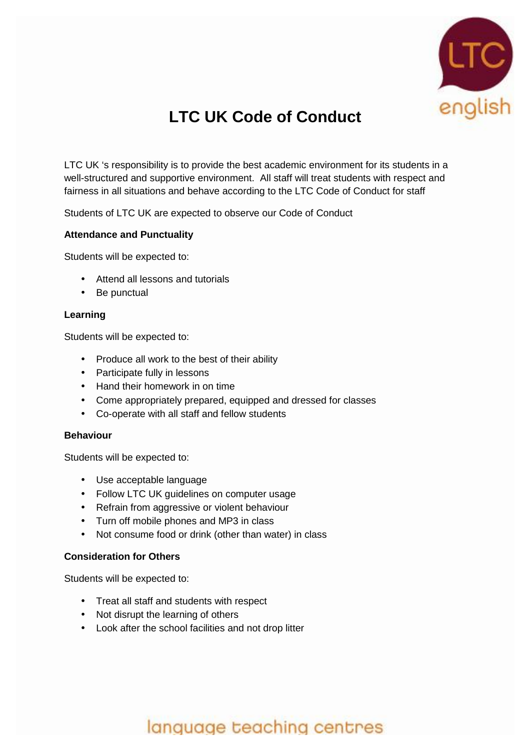

# **LTC UK Code of Conduct**

LTC UK 's responsibility is to provide the best academic environment for its students in a well-structured and supportive environment. All staff will treat students with respect and fairness in all situations and behave according to the LTC Code of Conduct for staff

Students of LTC UK are expected to observe our Code of Conduct

### **Attendance and Punctuality**

Students will be expected to:

- Attend all lessons and tutorials
- Be punctual

### **Learning**

Students will be expected to:

- Produce all work to the best of their ability
- Participate fully in lessons
- Hand their homework in on time
- Come appropriately prepared, equipped and dressed for classes
- Co-operate with all staff and fellow students

#### **Behaviour**

Students will be expected to:

- Use acceptable language
- Follow LTC UK guidelines on computer usage
- Refrain from aggressive or violent behaviour
- Turn off mobile phones and MP3 in class
- Not consume food or drink (other than water) in class

#### **Consideration for Others**

Students will be expected to:

- Treat all staff and students with respect
- Not disrupt the learning of others
- Look after the school facilities and not drop litter

## language teaching centres